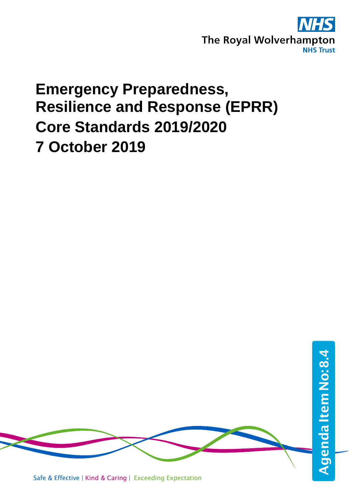

## **Emergency Preparedness, Resilience and Response (EPRR) Core Standards 2019/2020 7 October 2019**

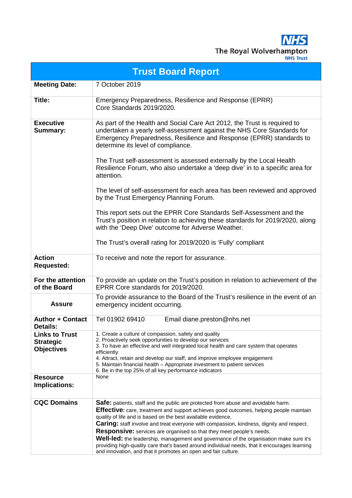**NHS** The Royal Wolverhampton

|                                                                | <b>Trust Board Report</b>                                                                                                                                                                                                                                                                                                                                                                                                                                                                                                                                                                                                       |
|----------------------------------------------------------------|---------------------------------------------------------------------------------------------------------------------------------------------------------------------------------------------------------------------------------------------------------------------------------------------------------------------------------------------------------------------------------------------------------------------------------------------------------------------------------------------------------------------------------------------------------------------------------------------------------------------------------|
| <b>Meeting Date:</b>                                           | 7 October 2019                                                                                                                                                                                                                                                                                                                                                                                                                                                                                                                                                                                                                  |
| Title:                                                         | Emergency Preparedness, Resilience and Response (EPRR)<br>Core Standards 2019/2020.                                                                                                                                                                                                                                                                                                                                                                                                                                                                                                                                             |
| <b>Executive</b><br>Summary:                                   | As part of the Health and Social Care Act 2012, the Trust is required to<br>undertaken a yearly self-assessment against the NHS Core Standards for<br>Emergency Preparedness, Resilience and Response (EPRR) standards to<br>determine its level of compliance.<br>The Trust self-assessment is assessed externally by the Local Health<br>Resilience Forum, who also undertake a 'deep dive' in to a specific area for<br>attention.<br>The level of self-assessment for each area has been reviewed and approved                                                                                                              |
|                                                                | by the Trust Emergency Planning Forum.<br>This report sets out the EPRR Core Standards Self-Assessment and the<br>Trust's position in relation to achieving these standards for 2019/2020, along<br>with the 'Deep Dive' outcome for Adverse Weather.<br>The Trust's overall rating for 2019/2020 is 'Fully' compliant                                                                                                                                                                                                                                                                                                          |
| <b>Action</b><br><b>Requested:</b>                             | To receive and note the report for assurance.                                                                                                                                                                                                                                                                                                                                                                                                                                                                                                                                                                                   |
| For the attention<br>of the Board                              | To provide an update on the Trust's position in relation to achievement of the<br>EPRR Core standards for 2019/2020.                                                                                                                                                                                                                                                                                                                                                                                                                                                                                                            |
| <b>Assure</b>                                                  | To provide assurance to the Board of the Trust's resilience in the event of an<br>emergency incident occurring.                                                                                                                                                                                                                                                                                                                                                                                                                                                                                                                 |
| <b>Author + Contact</b><br>Details:                            | Tel 01902 69410<br>Email diane.preston@nhs.net                                                                                                                                                                                                                                                                                                                                                                                                                                                                                                                                                                                  |
| <b>Links to Trust</b><br><b>Strategic</b><br><b>Objectives</b> | 1. Create a culture of compassion, safety and quality<br>2. Proactively seek opportunities to develop our services<br>3. To have an effective and well integrated local health and care system that operates<br>efficiently<br>4. Attract, retain and develop our staff, and improve employee engagement<br>5. Maintain financial health - Appropriate investment to patient services<br>6. Be in the top 25% of all key performance indicators                                                                                                                                                                                 |
| <b>Resource</b><br>Implications:                               | None                                                                                                                                                                                                                                                                                                                                                                                                                                                                                                                                                                                                                            |
| <b>CQC Domains</b>                                             | Safe: patients, staff and the public are protected from abuse and avoidable harm.<br><b>Effective:</b> care, treatment and support achieves good outcomes, helping people maintain<br>quality of life and is based on the best available evidence.<br><b>Caring:</b> staff involve and treat everyone with compassion, kindness, dignity and respect.<br><b>Responsive:</b> services are organised so that they meet people's needs.<br>Well-led: the leadership, management and governance of the organisation make sure it's<br>providing high-quality care that's based around individual needs, that it encourages learning |

and innovation, and that it promotes an open and fair culture.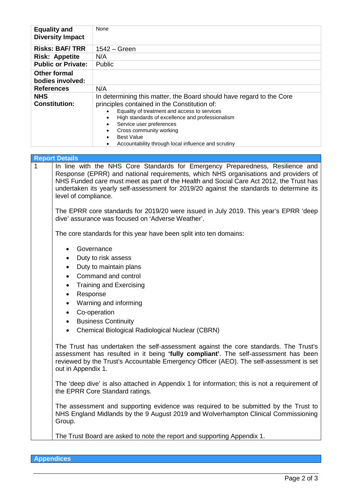| <b>Equality and</b><br><b>Diversity Impact</b> | None                                                                                                                                                                                                                                                                                                                                                                     |
|------------------------------------------------|--------------------------------------------------------------------------------------------------------------------------------------------------------------------------------------------------------------------------------------------------------------------------------------------------------------------------------------------------------------------------|
| <b>Risks: BAF/TRR</b>                          | $1542 - Green$                                                                                                                                                                                                                                                                                                                                                           |
| <b>Risk: Appetite</b>                          | N/A                                                                                                                                                                                                                                                                                                                                                                      |
| <b>Public or Private:</b>                      | <b>Public</b>                                                                                                                                                                                                                                                                                                                                                            |
| <b>Other formal</b><br>bodies involved:        |                                                                                                                                                                                                                                                                                                                                                                          |
| <b>References</b>                              | N/A                                                                                                                                                                                                                                                                                                                                                                      |
| <b>NHS</b><br><b>Constitution:</b>             | In determining this matter, the Board should have regard to the Core<br>principles contained in the Constitution of:<br>Equality of treatment and access to services<br>$\bullet$<br>High standards of excellence and professionalism<br>Service user preferences<br>Cross community working<br><b>Best Value</b><br>Accountability through local influence and scrutiny |

|   | <b>Report Details</b>                                                                                                                                                                                                                                                                                                                                                                |  |  |  |  |  |  |  |  |
|---|--------------------------------------------------------------------------------------------------------------------------------------------------------------------------------------------------------------------------------------------------------------------------------------------------------------------------------------------------------------------------------------|--|--|--|--|--|--|--|--|
| 1 | In line with the NHS Core Standards for Emergency Preparedness, Resilience and<br>Response (EPRR) and national requirements, which NHS organisations and providers of<br>NHS Funded care must meet as part of the Health and Social Care Act 2012, the Trust has<br>undertaken its yearly self-assessment for 2019/20 against the standards to determine its<br>level of compliance. |  |  |  |  |  |  |  |  |
|   | The EPRR core standards for 2019/20 were issued in July 2019. This year's EPRR 'deep<br>dive' assurance was focused on 'Adverse Weather'.                                                                                                                                                                                                                                            |  |  |  |  |  |  |  |  |
|   | The core standards for this year have been split into ten domains:                                                                                                                                                                                                                                                                                                                   |  |  |  |  |  |  |  |  |
|   | Governance<br>$\bullet$<br>Duty to risk assess<br>$\bullet$<br>Duty to maintain plans<br>٠<br>Command and control<br>$\bullet$<br><b>Training and Exercising</b><br>$\bullet$<br>Response<br>٠<br>Warning and informing<br>$\bullet$<br>Co-operation<br>$\bullet$<br><b>Business Continuity</b><br>$\bullet$<br>Chemical Biological Radiological Nuclear (CBRN)                      |  |  |  |  |  |  |  |  |
|   | The Trust has undertaken the self-assessment against the core standards. The Trust's<br>assessment has resulted in it being 'fully compliant'. The self-assessment has been<br>reviewed by the Trust's Accountable Emergency Officer (AEO). The self-assessment is set<br>out in Appendix 1.                                                                                         |  |  |  |  |  |  |  |  |
|   | The 'deep dive' is also attached in Appendix 1 for information; this is not a requirement of<br>the EPRR Core Standard ratings.                                                                                                                                                                                                                                                      |  |  |  |  |  |  |  |  |
|   | The assessment and supporting evidence was required to be submitted by the Trust to<br>NHS England Midlands by the 9 August 2019 and Wolverhampton Clinical Commissioning<br>Group.                                                                                                                                                                                                  |  |  |  |  |  |  |  |  |
|   | The Trust Board are asked to note the report and supporting Appendix 1.                                                                                                                                                                                                                                                                                                              |  |  |  |  |  |  |  |  |

**Appendices**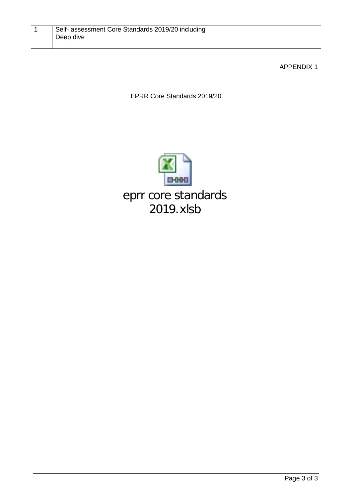## APPENDIX 1

EPRR Core Standards 2019/20

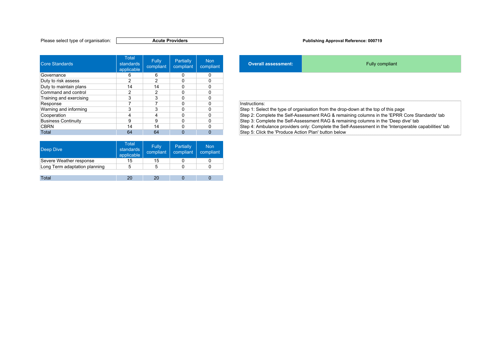| Core Standards          | <b>Total</b><br>standards<br>applicable | <b>Fully</b><br>compliant | Partially<br>compliant | Non<br>compliant |               | <b>Overall assessment:</b> | Fully compliant                                                                      |
|-------------------------|-----------------------------------------|---------------------------|------------------------|------------------|---------------|----------------------------|--------------------------------------------------------------------------------------|
| Governance              | 6                                       | 6                         | 0                      | O                |               |                            |                                                                                      |
| Duty to risk assess     |                                         |                           |                        |                  |               |                            |                                                                                      |
| Duty to maintain plans  | 14                                      | 14                        | 0                      |                  |               |                            |                                                                                      |
| Command and control     |                                         |                           |                        |                  |               |                            |                                                                                      |
| Training and exercising |                                         |                           |                        |                  |               |                            |                                                                                      |
| Response                |                                         |                           | U                      |                  | Instructions: |                            |                                                                                      |
| Warning and informing   | p                                       |                           |                        |                  |               |                            | Step 1: Select the type of organisation from the drop-down at the top of this page   |
| Cooperation             |                                         |                           | 0                      |                  |               |                            | Step 2: Complete the Self-Assessment RAG & remaining columns in the 'EPRR Core S'    |
| Business Continuity     | 9                                       | 9                         |                        |                  |               |                            | Step 3: Complete the Self-Assessment RAG & remaining columns in the 'Deep dive' tab  |
| <b>CBRN</b>             | 14                                      | 14                        |                        |                  |               |                            | Step 4: Ambulance providers only: Complete the Self-Assessment in the 'Interoperable |
| Total                   | 64                                      | 64                        | $\Omega$               | 0                |               |                            | Step 5: Click the 'Produce Action Plan' button below                                 |

| <b>Deep Dive</b>              | <b>Total</b><br>standards<br>applicable | <b>Fully</b><br>compliant | Partially<br>compliant | <b>Non</b><br>compliant |
|-------------------------------|-----------------------------------------|---------------------------|------------------------|-------------------------|
| Severe Weather response       | 15                                      | 15                        |                        |                         |
| Long Term adaptation planning | 5                                       |                           |                        |                         |
|                               |                                         |                           |                        |                         |
| Total                         |                                         |                           |                        |                         |

## **Publishing Approval Reference: 000719**

| <b>Non</b><br>compliant | <b>Overall assessment:</b> | <b>Fully compliant</b>                                                             |
|-------------------------|----------------------------|------------------------------------------------------------------------------------|
|                         |                            |                                                                                    |
| 0                       |                            |                                                                                    |
|                         |                            |                                                                                    |
| 0                       |                            |                                                                                    |
| ი                       |                            |                                                                                    |
| 0                       | Instructions:              |                                                                                    |
| 0                       |                            | Step 1: Select the type of organisation from the drop-down at the top of this page |
|                         |                            |                                                                                    |

Step 2: Complete the Self-Assessment RAG & remaining columns in the 'EPRR Core Standards' tab CBRN 14 14 0 0 Step 4: Ambulance providers only: Complete the Self-Assessment in the 'Interoperable capabilities' tab Step 5: Click the 'Produce Action Plan' button below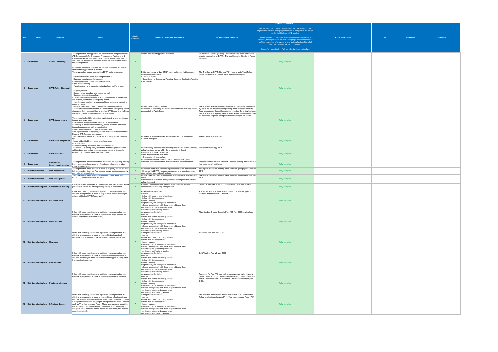|              |                                                 |                                                |                                                                                                                                              |                                                                      |                                                                                                                                                                         |                                                                                                                                                | <b>Self assessment RAG</b>                                                                                                                                                                                                                     |                    |      |                  |                 |
|--------------|-------------------------------------------------|------------------------------------------------|----------------------------------------------------------------------------------------------------------------------------------------------|----------------------------------------------------------------------|-------------------------------------------------------------------------------------------------------------------------------------------------------------------------|------------------------------------------------------------------------------------------------------------------------------------------------|------------------------------------------------------------------------------------------------------------------------------------------------------------------------------------------------------------------------------------------------|--------------------|------|------------------|-----------------|
|              |                                                 |                                                |                                                                                                                                              |                                                                      |                                                                                                                                                                         |                                                                                                                                                | Red (not compliant) = Not compliant with the core standard. The<br>organisation's EPRR work programme shows compliance will not be<br>reached within the next 12 months.                                                                       |                    |      |                  |                 |
| Ref          | Domain                                          | <b>Standard</b>                                | <b>Detail</b>                                                                                                                                | Acute<br><b>Providers</b>                                            | Evidence - examples listed below                                                                                                                                        | <b>Organisational Evidence</b>                                                                                                                 | Amber (partially compliant) = Not compliant with core standard.<br>However, the organisation's EPRR work programme demonstrates<br>sufficient evidence of progress and an action plan to achieve full<br>compliance within the next 12 months. | Action to be taken | Lead | <b>Timescale</b> | <b>Comments</b> |
|              |                                                 |                                                |                                                                                                                                              |                                                                      |                                                                                                                                                                         |                                                                                                                                                | Green (fully compliant) = Fully compliant with core standard.                                                                                                                                                                                  |                    |      |                  |                 |
|              |                                                 |                                                | The organisation has appointed an Accountable Emergency Officer                                                                              |                                                                      | • Name and role of appointed individual                                                                                                                                 | Gwen Nuttall - Chief Operating Officer/AEO who is the Board level                                                                              |                                                                                                                                                                                                                                                |                    |      |                  |                 |
|              |                                                 |                                                | (AEO) responsible for Emergency Preparedness Resilience and<br>Response (EPRR). This individual should be a board level director,            |                                                                      |                                                                                                                                                                         | director responsible for EPRR. The non-Executive Director is Roger<br>Dunshea.                                                                 |                                                                                                                                                                                                                                                |                    |      |                  |                 |
|              | Governance                                      | <b>Senior Leadership</b>                       | and have the appropriate authority, resources and budget to direct<br>the EPRR portfolio.                                                    |                                                                      |                                                                                                                                                                         |                                                                                                                                                | Fully compliant                                                                                                                                                                                                                                |                    |      |                  |                 |
|              |                                                 |                                                | A non-executive board member, or suitable alternative, should be                                                                             |                                                                      |                                                                                                                                                                         |                                                                                                                                                |                                                                                                                                                                                                                                                |                    |      |                  |                 |
|              |                                                 |                                                | identified to support them in this role.<br>The organisation has an overarching EPRR policy statement.                                       |                                                                      | Evidence of an up to date EPRR policy statement that includes:                                                                                                          | The Trust has an EPRR Strategy V5.1 - due to go to Trust Policy                                                                                |                                                                                                                                                                                                                                                |                    |      |                  |                 |
|              |                                                 |                                                | This should take into account the organisation's:                                                                                            |                                                                      | • Resourcing commitment<br>- Access to funds                                                                                                                            | Group 2nd August 2019 - this has a 3 year review cycle.                                                                                        |                                                                                                                                                                                                                                                |                    |      |                  |                 |
|              |                                                 |                                                | • Business objectives and processes<br>• Key suppliers and contractual arrangements                                                          |                                                                      | • Commitment to Emergency Planning, Business Continuity, Training,<br>Exercising etc.                                                                                   |                                                                                                                                                |                                                                                                                                                                                                                                                |                    |      |                  |                 |
|              |                                                 |                                                | · Risk assessment(s)<br>• Functions and / or organisation, structural and staff changes.                                                     |                                                                      |                                                                                                                                                                         |                                                                                                                                                |                                                                                                                                                                                                                                                |                    |      |                  |                 |
|              | 2 Governance                                    | <b>EPRR Policy Statement</b>                   | The policy should:                                                                                                                           |                                                                      |                                                                                                                                                                         |                                                                                                                                                | Fully compliant                                                                                                                                                                                                                                |                    |      |                  |                 |
|              |                                                 |                                                | . Have a review schedule and version control<br>• Use unambiguous terminology                                                                |                                                                      |                                                                                                                                                                         |                                                                                                                                                |                                                                                                                                                                                                                                                |                    |      |                  |                 |
|              |                                                 |                                                | · Identify those responsible for ensuring policies and arrangements<br>are updated, distributed and regularly tested                         |                                                                      |                                                                                                                                                                         |                                                                                                                                                |                                                                                                                                                                                                                                                |                    |      |                  |                 |
|              |                                                 |                                                | . Include references to other sources of information and supporting<br>documentation.                                                        |                                                                      |                                                                                                                                                                         |                                                                                                                                                |                                                                                                                                                                                                                                                |                    |      |                  |                 |
|              |                                                 |                                                | The Chief Executive Officer / Clinical Commissioning Group<br>Accountable Officer ensures that the Accountable Emergency Officer             |                                                                      | • Public Board meeting minutes<br>. Evidence of presenting the results of the annual EPRR assurance   by 2 sub groups, Major incident planning and Business Continuity. | The Trust has an established Emergeny Planning Group, supported                                                                                |                                                                                                                                                                                                                                                |                    |      |                  |                 |
|              |                                                 |                                                | discharges their responsibilities to provide EPRR reports to the Board<br>/ Governing Body, no less frequently than annually.                |                                                                      | process to the Public Board                                                                                                                                             | Trust Management Committee receives report on 6 monthly basis and<br>the Trust Board on a yearly basis or when ad hoc reports are required     |                                                                                                                                                                                                                                                |                    |      |                  |                 |
|              |                                                 |                                                | These reports should be taken to a public board, and as a minimum,                                                                           |                                                                      |                                                                                                                                                                         | for assurance purposes. along with the annual report for EPRR                                                                                  |                                                                                                                                                                                                                                                |                    |      |                  |                 |
|              | 3 Governance                                    | <b>EPRR</b> board reports                      | include an overview on:<br>• training and exercises undertaken by the organisation                                                           |                                                                      |                                                                                                                                                                         |                                                                                                                                                | Fully compliant                                                                                                                                                                                                                                |                    |      |                  |                 |
|              |                                                 |                                                | · summary of any business continuity, critical incidents and major<br>incidents experienced by the organisation                              |                                                                      |                                                                                                                                                                         |                                                                                                                                                |                                                                                                                                                                                                                                                |                    |      |                  |                 |
|              |                                                 |                                                | · lessons identified from incidents and exercises<br>. the organisation's compliance position in relation to the latest NHS                  |                                                                      |                                                                                                                                                                         |                                                                                                                                                |                                                                                                                                                                                                                                                |                    |      |                  |                 |
|              |                                                 |                                                | England EPRR assurance process.<br>The organisation has an annual EPRR work programme, informed                                              |                                                                      | · Process explicitly described within the EPRR policy statement                                                                                                         | Plan for 2019/2020 attached                                                                                                                    |                                                                                                                                                                                                                                                |                    |      |                  |                 |
|              | 4 Governance                                    |                                                | EPRR work programme . lessons identified from incidents and exercises                                                                        | Y                                                                    | • Annual work plan                                                                                                                                                      |                                                                                                                                                | Fully compliant                                                                                                                                                                                                                                |                    |      |                  |                 |
|              |                                                 |                                                | · identified risks<br>. outcomes of any assurance and audit processes.                                                                       |                                                                      |                                                                                                                                                                         |                                                                                                                                                |                                                                                                                                                                                                                                                |                    |      |                  |                 |
| 5 Governance |                                                 |                                                | The Board / Governing Body is satisfied that the organisation has<br>sufficient and appropriate resource, proportionate to its size, to      |                                                                      | . EPRR Policy identifies resources required to fulfill EPRR function; Part of EPRR strategy V 5.1<br>policy has been signed off by the organisation's Board             |                                                                                                                                                |                                                                                                                                                                                                                                                |                    |      |                  |                 |
|              | <b>EPRR Resource</b>                            | ensure it can fully discharge its EPRR duties. | Y                                                                                                                                            | • Assessment of role / resources<br>· Role description of EPRR Staff |                                                                                                                                                                         | Fully compliant                                                                                                                                |                                                                                                                                                                                                                                                |                    |      |                  |                 |
|              |                                                 |                                                |                                                                                                                                              |                                                                      | • Organisation structure chart<br>• Internal Governance process chart including EPRR group                                                                              |                                                                                                                                                |                                                                                                                                                                                                                                                |                    |      |                  |                 |
| 6            | Governance                                      | <b>Continuous</b>                              | The organisation has clearly defined processes for capturing learning<br>from incidents and exercises to inform the development of future    | Y                                                                    | · Process explicitly described within the EPRR policy statement                                                                                                         | Lessons learnt framework attached. - see the learning framework that<br>has been recently published                                            | Fully compliant                                                                                                                                                                                                                                |                    |      |                  |                 |
|              |                                                 | improvement process                            | EPRR arrangements.<br>The organisation has a process in place to regularly assess the risks                                                  |                                                                      |                                                                                                                                                                         | • Evidence that EPRR risks are regularly considered and recorded risk register monitored monthly basis and is an going agenda item at          |                                                                                                                                                                                                                                                |                    |      |                  |                 |
|              | Duty to risk assess                             | <b>Risk assessment</b>                         | to the population it serves. This process should consider community<br>and national risk registers.                                          | Y                                                                    | . Evidence that EPRR risks are represented and recorded on the<br>organisations corporate risk register                                                                 | FPG.                                                                                                                                           | Fully compliant                                                                                                                                                                                                                                |                    |      |                  |                 |
|              | 8 Duty to risk assess                           | <b>Risk Management</b>                         | The organisation has a robust method of reporting, recording,<br>monitoring and escalating EPRR risks.                                       | Y                                                                    | policy                                                                                                                                                                  | . EPRR risks are considered in the organisation's risk management risk register monitored monthly basis and is an going agenda item at<br>EPG. | Fully compliant                                                                                                                                                                                                                                |                    |      |                  |                 |
|              |                                                 |                                                |                                                                                                                                              |                                                                      | . Reference to EPRR risk management in the organisation's EPRR<br>policy document                                                                                       |                                                                                                                                                |                                                                                                                                                                                                                                                |                    |      |                  |                 |
|              | 9 Duty to maintain plans Collaborative planning |                                                | Plans have been developed in collaboration with partners and service<br>providers to ensure the whole patient pathway is considered.         | Y                                                                    | Partners consulted with as part of the planning process are<br>demonstrable in planning arrangements                                                                    | Shared with Wolverhampton Council Resilience Group, WMAS.                                                                                      | Fully compliant                                                                                                                                                                                                                                |                    |      |                  |                 |
|              |                                                 |                                                | In line with current guidance and legislation, the organisation has<br>effective arrangements in place to respond to a critical incident (as |                                                                      | Arrangements should be:<br>$\cdot$ current                                                                                                                              | A Trust has a SOP in place which outlines, the different types of<br>incidents that may occur. Attached.                                       |                                                                                                                                                                                                                                                |                    |      |                  |                 |
|              |                                                 |                                                | defined within the EPRR Framework).                                                                                                          |                                                                      | . in line with current national guidance<br>• in line with risk assessment                                                                                              |                                                                                                                                                |                                                                                                                                                                                                                                                |                    |      |                  |                 |
|              | 11 Duty to maintain plans Critical incident     |                                                |                                                                                                                                              |                                                                      | • tested regularly<br>· signed off by the appropriate mechanism                                                                                                         |                                                                                                                                                | Fully compliant                                                                                                                                                                                                                                |                    |      |                  |                 |
|              |                                                 |                                                |                                                                                                                                              |                                                                      | · shared appropriately with those required to use them<br>• outline any equipment requirements                                                                          |                                                                                                                                                |                                                                                                                                                                                                                                                |                    |      |                  |                 |
|              |                                                 |                                                | In line with current guidance and legislation, the organisation has                                                                          |                                                                      | outline any staff training required<br>Arrangements should be:                                                                                                          | Major incident & Mass Casualty Plan V11 Nov 2018 now in place.                                                                                 |                                                                                                                                                                                                                                                |                    |      |                  |                 |
|              |                                                 |                                                | effective arrangements in place to respond to a major incident (as<br>defined within the EPRR Framework).                                    |                                                                      | $\cdot$ current<br>. in line with current national guidance                                                                                                             |                                                                                                                                                |                                                                                                                                                                                                                                                |                    |      |                  |                 |
|              | 12 Duty to maintain plans Major incident        |                                                |                                                                                                                                              | Y                                                                    | • in line with risk assessment<br>• tested regularly                                                                                                                    |                                                                                                                                                | Fully compliant                                                                                                                                                                                                                                |                    |      |                  |                 |
|              |                                                 |                                                |                                                                                                                                              |                                                                      | · signed off by the appropriate mechanism<br>• shared appropriately with those required to use them                                                                     |                                                                                                                                                |                                                                                                                                                                                                                                                |                    |      |                  |                 |
|              |                                                 |                                                |                                                                                                                                              |                                                                      | • outline any equipment requirements<br>• outline any staff training required                                                                                           |                                                                                                                                                |                                                                                                                                                                                                                                                |                    |      |                  |                 |
|              |                                                 |                                                | In line with current guidance and legislation, the organisation has<br>effective arrangements in place to respond to the impacts of          |                                                                      | Arrangements should be:<br>$\cdot$ current                                                                                                                              | Heatwave plan V11 June 2019                                                                                                                    |                                                                                                                                                                                                                                                |                    |      |                  |                 |
|              |                                                 |                                                | heatwave on the population the organisation serves and its staff.                                                                            |                                                                      | . in line with current national guidance<br>• in line with risk assessment                                                                                              |                                                                                                                                                |                                                                                                                                                                                                                                                |                    |      |                  |                 |
|              | 13 Duty to maintain plans Heatwave              |                                                |                                                                                                                                              | Y                                                                    | • tested regularly<br>· signed off by the appropriate mechanism                                                                                                         |                                                                                                                                                | Fully compliant                                                                                                                                                                                                                                |                    |      |                  |                 |
|              |                                                 |                                                |                                                                                                                                              |                                                                      | · shared appropriately with those required to use them<br>• outline any equipment requirements                                                                          |                                                                                                                                                |                                                                                                                                                                                                                                                |                    |      |                  |                 |
|              |                                                 |                                                | In line with current guidance and legislation, the organisation has<br>effective arrangements in place to respond to the impacts of snow     |                                                                      | · outline any staff training required<br>Arrangements should be:<br>$\cdot$ current                                                                                     | Cold Weather Plan V6 May 2018                                                                                                                  |                                                                                                                                                                                                                                                |                    |      |                  |                 |
|              |                                                 |                                                | and cold weather (not internal business continuity) on the population<br>the organisation serves.                                            |                                                                      | . in line with current national guidance<br>• in line with risk assessment                                                                                              |                                                                                                                                                |                                                                                                                                                                                                                                                |                    |      |                  |                 |
|              | 14 Duty to maintain plans Cold weather          |                                                |                                                                                                                                              | Y                                                                    | • tested regularly<br>· signed off by the appropriate mechanism                                                                                                         |                                                                                                                                                | Fully compliant                                                                                                                                                                                                                                |                    |      |                  |                 |
|              |                                                 |                                                |                                                                                                                                              |                                                                      | • shared appropriately with those required to use them<br>• outline any equipment requirements                                                                          |                                                                                                                                                |                                                                                                                                                                                                                                                |                    |      |                  |                 |
|              |                                                 |                                                | In line with current guidance and legislation, the organisation has                                                                          |                                                                      | · outline any staff training required<br>Arrangements should be:                                                                                                        | Pandemic Flu Plan V6 - currently under review as part of 3 yearly                                                                              |                                                                                                                                                                                                                                                |                    |      |                  |                 |
|              |                                                 |                                                | effective arrangements in place to respond to pandemic influenza.                                                                            |                                                                      | $\cdot$ current<br>. in line with current national guidance                                                                                                             | review cycle - working locally with Wolverhampton Health Protection<br>Forum, Wolverhampton LA Reslience Group and Wolverhampton               |                                                                                                                                                                                                                                                |                    |      |                  |                 |
|              | 15 Duty to maintain plans Pandemic influenza    |                                                |                                                                                                                                              | Y                                                                    | • in line with risk assessment<br>• tested regularly                                                                                                                    | CCG.                                                                                                                                           | Fully compliant                                                                                                                                                                                                                                |                    |      |                  |                 |
|              |                                                 |                                                |                                                                                                                                              |                                                                      | · signed off by the appropriate mechanism<br>• shared appropriately with those required to use them                                                                     |                                                                                                                                                |                                                                                                                                                                                                                                                |                    |      |                  |                 |
|              |                                                 |                                                |                                                                                                                                              |                                                                      | • outline any equipment requirements<br>· outline any staff training required                                                                                           |                                                                                                                                                |                                                                                                                                                                                                                                                |                    |      |                  |                 |
|              |                                                 |                                                | In line with current guidance and legislation, the organisation has<br>effective arrangements in place to respond to an infectious disease   |                                                                      | Arrangements should be:<br>$\cdot$ current                                                                                                                              | The Trust has an Outbreak Policy IP13 V5 Feb 2019 and Isolation<br>Policy for infectious diseases IP 10, Viral haemorrhagic Fever IP 07        |                                                                                                                                                                                                                                                |                    |      |                  |                 |
|              |                                                 |                                                | outbreak within the organisation or the community it serves, covering<br>a range of diseases including High Consequence Infectious Diseases  |                                                                      | . in line with current national guidance<br>• in line with risk assessment                                                                                              |                                                                                                                                                |                                                                                                                                                                                                                                                |                    |      |                  |                 |
|              | 16 Duty to maintain plans Infectious disease    |                                                | such as Viral Haemorrhagic Fever. These arrangements should be<br>made in conjunction with Infection Control teams; including supply of      |                                                                      | • tested regularly<br>· signed off by the appropriate mechanism                                                                                                         |                                                                                                                                                | Fully compliant                                                                                                                                                                                                                                |                    |      |                  |                 |
|              |                                                 |                                                | adequate FFP3 and PPE trained individuals commensurate with the<br>organisational risk.                                                      |                                                                      | · shared appropriately with those required to use them<br>• outline any equipment requirements                                                                          |                                                                                                                                                |                                                                                                                                                                                                                                                |                    |      |                  |                 |
|              |                                                 |                                                |                                                                                                                                              |                                                                      | · outline any staff training required                                                                                                                                   |                                                                                                                                                |                                                                                                                                                                                                                                                |                    |      |                  |                 |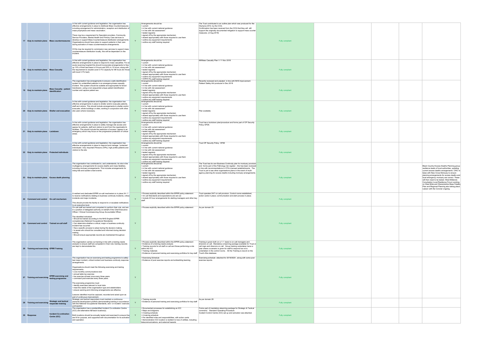| 17 Duty to maintain plans Mass countermeasures                               |                                                     | In line with current guidance and legislation, the organisation has<br>effective arrangements in place to distribute Mass Countermeasures<br>including arrangement for administration, reception and distribution of<br>mass prophylaxis and mass vaccination.<br>There may be a requirement for Specialist providers, Community<br>Service Providers, Mental Health and Primary Care services to<br>develop or support Mass Countermeasure distribution arrangements.<br>Organisations should have plans to support patients in their care<br>during activation of mass countermeasure arrangements.<br>CCGs may be required to commission new services to support mass<br>countermeasure distribution locally, this will be dependant on the<br>incident. |   | Arrangements should be:<br>• current<br>. in line with current national guidance<br>• in line with risk assessment<br>• tested regularly<br>· signed off by the appropriate mechanism<br>• shared appropriately with those required to use them<br>· outline any equipment requirements<br>• outline any staff training required       | The Trust contributed to an outline plan which was produced for the<br>Olympics 2012, by the CCG.<br>Confirmation has been received from the CCG that they will still<br>support the originally documented mitigation to support mass counter<br>measures. (2 Aug 2019)                                                                                           | Fully compliant |  |                                                                                                                                                                                                                                                                                                                                                                                                                                                                                                                        |
|------------------------------------------------------------------------------|-----------------------------------------------------|-------------------------------------------------------------------------------------------------------------------------------------------------------------------------------------------------------------------------------------------------------------------------------------------------------------------------------------------------------------------------------------------------------------------------------------------------------------------------------------------------------------------------------------------------------------------------------------------------------------------------------------------------------------------------------------------------------------------------------------------------------------|---|----------------------------------------------------------------------------------------------------------------------------------------------------------------------------------------------------------------------------------------------------------------------------------------------------------------------------------------|-------------------------------------------------------------------------------------------------------------------------------------------------------------------------------------------------------------------------------------------------------------------------------------------------------------------------------------------------------------------|-----------------|--|------------------------------------------------------------------------------------------------------------------------------------------------------------------------------------------------------------------------------------------------------------------------------------------------------------------------------------------------------------------------------------------------------------------------------------------------------------------------------------------------------------------------|
| 18 Duty to maintain plans Mass Casualty                                      |                                                     | In line with current guidance and legislation, the organisation has<br>effective arrangements in place to respond to mass casualties. For an<br>acute receiving hospital this should incorporate arrangements to free<br>up 10% of their bed base in 6 hours and 20% in 12 hours, along with<br>the requirement to double Level 3 ITU capacity for 96 hours (for those<br>with level 3 ITU bed).                                                                                                                                                                                                                                                                                                                                                            |   | Arrangements should be:<br>$\cdot$ current<br>. in line with current national guidance<br>. in line with risk assessment<br>• tested regularly<br>· signed off by the appropriate mechanism<br>• shared appropriately with those required to use them<br>· outline any equipment requirements<br>· outline any staff training required | MI/Mass Casualty Plan V 11 Nov 2018                                                                                                                                                                                                                                                                                                                               | Fully compliant |  |                                                                                                                                                                                                                                                                                                                                                                                                                                                                                                                        |
| 19 Duty to maintain plans                                                    | <b>Mass Casualty - patient</b><br>identification    | The organisation has arrangements to ensure a safe identification<br>system for unidentified patients in an emergency/mass casualty<br>incident. This system should be suitable and appropriate for blood<br>transfusion, using a non-sequential unique patient identification<br>number and capture patient sex.                                                                                                                                                                                                                                                                                                                                                                                                                                           | Y | Arrangements should be:<br>$\cdot$ current<br>. in line with current national guidance<br>. in line with risk assessment<br>• tested regularly<br>· signed off by the appropriate mechanism<br>• shared appropriately with those required to use them<br>· outline any equipment requirements<br>· outline any staff training required | Recently reviewed and udpated in line with NHS Improvement<br>Paitient Safety Alrt produced in Dec 2018                                                                                                                                                                                                                                                           | Fully compliant |  |                                                                                                                                                                                                                                                                                                                                                                                                                                                                                                                        |
| 20 Duty to maintain plans Shelter and evacuation site users where necessary. |                                                     | In line with current guidance and legislation, the organisation has<br>effective arrangements in place to shelter and/or evacuate patients,<br>staff and visitors. This should include arrangements to shelter and/or<br>evacuate, whole buildings or sites, working in conjunction with other                                                                                                                                                                                                                                                                                                                                                                                                                                                              |   | Arrangements should be:<br>• current<br>. in line with current national guidance<br>. in line with risk assessment<br>• tested regularly<br>· signed off by the appropriate mechanism<br>• shared appropriately with those required to use them<br>· outline any equipment requirements<br>· outline any staff training required       | Plan available.                                                                                                                                                                                                                                                                                                                                                   | Fully compliant |  |                                                                                                                                                                                                                                                                                                                                                                                                                                                                                                                        |
| 21 Duty to maintain plans Lockdown                                           |                                                     | In line with current guidance and legislation, the organisation has<br>effective arrangements in place to safely manage site access and<br>egress for patients, staff and visitors to and from the organisation's<br>facilities. This should include the restriction of access / egress in an<br>emergency which may focus on the progressive protection of critical<br>areas.                                                                                                                                                                                                                                                                                                                                                                              | Y | Arrangements should be:<br>$\cdot$ current<br>. in line with current national guidance<br>. in line with risk assessment<br>• tested regularly<br>· signed off by the appropriate mechanism<br>• shared appropriately with those required to use them<br>· outline any equipment requirements<br>· outline any staff training required | Trust has a lockdown plan/procedure and forms part of OP Security<br>Policy OP26.                                                                                                                                                                                                                                                                                 | Fully compliant |  |                                                                                                                                                                                                                                                                                                                                                                                                                                                                                                                        |
| 22 Duty to maintain plans Protected individuals                              |                                                     | In line with current guidance and legislation, the organisation has<br>effective arrangements in place to respond and manage 'protected<br>individuals'; Very Important Persons (VIPs), high profile patients and<br>visitors to the site.                                                                                                                                                                                                                                                                                                                                                                                                                                                                                                                  | Y | Arrangements should be:<br>$\cdot$ current<br>. in line with current national guidance<br>. in line with risk assessment<br>• tested regularly<br>· signed off by the appropriate mechanism<br>• shared appropriately with those required to use them<br>· outline any equipment requirements<br>· outline any staff training required | Trust OP Security Policy OP26                                                                                                                                                                                                                                                                                                                                     | Fully compliant |  |                                                                                                                                                                                                                                                                                                                                                                                                                                                                                                                        |
| 23 Duty to maintain plans Excess death planning                              |                                                     | The organisation has contributed to, and understands, its role in the<br>multiagency arrangements for excess deaths and mass fatalities,<br>including mortuary arrangements. This includes arrangements for<br>rising tide and sudden onset events.                                                                                                                                                                                                                                                                                                                                                                                                                                                                                                         |   | Arrangements should be:<br>$\cdot$ current<br>. in line with current national guidance<br>. in line with risk assessment<br>· tested regularly<br>· signed off by the appropriate mechanism<br>• shared appropriately with those required to use them<br>· outline any equipment requirements<br>· outline any staff training required | The Trust has its own Business Continuity plan for mortuary provision<br>and forms part of the Pathology risk register - this has been reviewed<br>in line with recommendations in HTA-Licensed establishments. The<br>Trust is yet to see other organisations plans in the event of multi-<br>agency planning for excess deaths including mortuary arrangements. | Fully compliant |  | Black Country Excess Deaths Planning group<br>resilience leads of local authorities, updating<br>current excess deaths arrangements. CWC to<br>liaise with New Cross Mortuary to ensure<br>planning arrangements for excess deaths and<br>local emergency mortuary are correct. These<br>will then need to be tested. West Midlands<br>Conurbation Local Resilience Forum working<br>on West Mids and Warwickshire Mass Fatality<br>Plan and Regional Planning also taking place.<br>Liaison with the Coroner ongoing. |
| 24 Command and control On-call mechanism                                     |                                                     | A resilient and dedicated EPRR on-call mechanism is in place 24 / 7<br>to receive notifications relating to business continuity incidents, critical<br>incidents and major incidents.<br>This should provide the facility to respond to or escalate notifications<br>to an executive level.                                                                                                                                                                                                                                                                                                                                                                                                                                                                 | Y | • Process explicitly described within the EPRR policy statement<br>. On call Standards and expectations are set out<br>. Include 24 hour arrangements for alerting managers and other key<br>staff.                                                                                                                                    | Trust operates 24/7 on call provision, Control rooms established,<br>action cards in place; communication and alert process in place.                                                                                                                                                                                                                             | Fully compliant |  |                                                                                                                                                                                                                                                                                                                                                                                                                                                                                                                        |
| 25 Command and control Trained on-call staff                                 |                                                     | On-call staff are trained and competent to perform their role, and are<br>in a position of delegated authority on behalf of the Chief Executive<br>Officer / Clinical Commissioning Group Accountable Officer.<br>The identified individual:<br>. Should be trained according to the NHS England EPRR<br>competencies (National Occupational Standards)<br>. Can determine whether a critical, major or business continuity<br>incident has occurred<br>. Has a specific process to adopt during the decision making<br>. Is aware who should be consulted and informed during decision<br>making<br>· Should ensure appropriate records are maintained throughout.                                                                                         | Y | • Process explicitly described within the EPRR policy statement As per domain 25                                                                                                                                                                                                                                                       |                                                                                                                                                                                                                                                                                                                                                                   | Fully compliant |  |                                                                                                                                                                                                                                                                                                                                                                                                                                                                                                                        |
| 26 Training and exercising EPRR Training                                     |                                                     | The organisation carries out training in line with a training needs<br>analysis to ensure staff are competent in their role; training records<br>are kept to demonstrate this.                                                                                                                                                                                                                                                                                                                                                                                                                                                                                                                                                                              | Y | • Process explicitly described within the EPRR policy statement<br>. Evidence of a training needs analysis<br>• Training records for all staff on call and those performing a role<br>within the ICC<br>• Training materials<br>• Evidence of personal training and exercising portfolios for key staff Trust's Kite database.         | Training is given both on a 1:1 basis to on call managers and<br>directors on call. Mandatory e-learning package available for Trust on<br>call mgrs and direcrors on call. Group training undertaken twice a<br>year where a scenario is given for staff to respond toa nd is<br>undertaken in the control rooms. All the Training is reocrd on the              | Fully compliant |  |                                                                                                                                                                                                                                                                                                                                                                                                                                                                                                                        |
| 27 Training and exercising                                                   | <b>EPRR</b> exercising and<br>testing programme     | The organisation has an exercising and testing programme to safely<br>test major incident, critical incident and business continuity response<br>arrangements.<br>Organisations should meet the following exercising and testing<br>requirements:<br>• a six-monthly communications test<br>annual table top exercise<br>. live exercise at least once every three years<br>• command post exercise every three years.<br>The exercising programme must:<br>· identify exercises relevant to local risks<br>• meet the needs of the organisation type and stakeholders<br>· ensure warning and informing arrangements are effective.<br>Lessons identified must be captured, recorded and acted upon as<br>part of continuous improvement.                  | Y | • Exercising Schedule<br>. Evidence of post exercise reports and embedding learning                                                                                                                                                                                                                                                    | Exercising schedule attached for 2019/2020, along with some post<br>exercise reports                                                                                                                                                                                                                                                                              | Fully compliant |  |                                                                                                                                                                                                                                                                                                                                                                                                                                                                                                                        |
| 28 Training and exercising                                                   | <b>Strategic and tactical</b><br>responder training | Strategic and tactical responders must maintain a continuous<br>personal development portfolio demonstrating training in accordance<br>with the National Occupational Standards, and / or incident / exercise<br>participation                                                                                                                                                                                                                                                                                                                                                                                                                                                                                                                              |   | Training records<br>• Evidence of personal training and exercising portfolios for key staff                                                                                                                                                                                                                                            | As per domain 26                                                                                                                                                                                                                                                                                                                                                  | Fully compliant |  |                                                                                                                                                                                                                                                                                                                                                                                                                                                                                                                        |
| 30 Response                                                                  | <b>Incident Co-ordination</b><br>Centre (ICC)       | The organisation has a preidentified Incident Co-ordination Centre<br>(ICC) and alternative fall-back location(s).<br>Both locations should be annually tested and exercised to ensure the<br>are fit for purpose, and supported with documentation for its activation<br>and operation.                                                                                                                                                                                                                                                                                                                                                                                                                                                                    |   | · Documented processes for establishing an ICC<br>• Maps and diagrams<br>• A testing schedule<br>• A training schedule<br>. Pre identified roles and responsibilities, with action cards<br>• Demonstration ICC location is resilient to loss of utilities, including<br>telecommunications, and external hazards                      | Forms part of mandatory elearning package for Strategic & Tactical<br>command. Standard Operating Procedure<br>Incident Control Centre (ICC) set up and activation see attached.                                                                                                                                                                                  | Fully compliant |  |                                                                                                                                                                                                                                                                                                                                                                                                                                                                                                                        |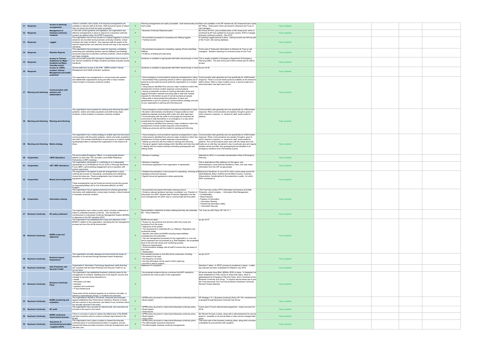| <b>Response</b>                                | <b>Access to planning</b>                                                                                              | Version controlled, hard copies of all response arrangements are<br>available to relevant staff at all times. Staff should be aware of where Y                                                                                                                                                                                                                                                                   |   | hard copies                                                                                                                                                                                                                                                                                                                                                                                                                                                                                                                                                                                                                                                                                    | Planning arrangements are easily accessible - both electronically and Plans are available on the EP intranet site; BC sharepoint, hard copies<br>EP Office, 'Grab packs' which are issued to Directors and Trust on                                                                                                                                                                                                                                                                                                                                         | Fully compliant |  |
|------------------------------------------------|------------------------------------------------------------------------------------------------------------------------|------------------------------------------------------------------------------------------------------------------------------------------------------------------------------------------------------------------------------------------------------------------------------------------------------------------------------------------------------------------------------------------------------------------|---|------------------------------------------------------------------------------------------------------------------------------------------------------------------------------------------------------------------------------------------------------------------------------------------------------------------------------------------------------------------------------------------------------------------------------------------------------------------------------------------------------------------------------------------------------------------------------------------------------------------------------------------------------------------------------------------------|-------------------------------------------------------------------------------------------------------------------------------------------------------------------------------------------------------------------------------------------------------------------------------------------------------------------------------------------------------------------------------------------------------------------------------------------------------------------------------------------------------------------------------------------------------------|-----------------|--|
|                                                | arrangements<br><b>Management of</b>                                                                                   | they are stored and should be easily accessible<br>In line with current guidance and legislation, the organisation has                                                                                                                                                                                                                                                                                           |   | · Business Continuity Response plans                                                                                                                                                                                                                                                                                                                                                                                                                                                                                                                                                                                                                                                           | call managers.<br>BC Policy OP104v, plus localised plans on BC share-point, which is                                                                                                                                                                                                                                                                                                                                                                                                                                                                        |                 |  |
| 32 Response                                    | business continuity<br>incidents                                                                                       | effective arrangements in place to respond to a business continuity<br>incident (as defined within the EPRR Framework).                                                                                                                                                                                                                                                                                          |   |                                                                                                                                                                                                                                                                                                                                                                                                                                                                                                                                                                                                                                                                                                | monitored by EP and updated by local plan owners. SOP to manage<br>buisness continuity incidents - Dec 2018                                                                                                                                                                                                                                                                                                                                                                                                                                                 | Fully compliant |  |
| 33 Response                                    | Loggist                                                                                                                | The organisation has 24 hour access to a trained loggist(s) to ensure<br>decisions are recorded during business continuity incidents, critical<br>incidents and major incidents. Key response staff are aware of the<br>need for keeping their own personal records and logs to the required                                                                                                                     |   | • Documented processes for accessing and utilising loggists<br>• Training records                                                                                                                                                                                                                                                                                                                                                                                                                                                                                                                                                                                                              | E Learning Loggist training in place - training records are held as part<br>of the Trust's kite training database.                                                                                                                                                                                                                                                                                                                                                                                                                                          | Fully compliant |  |
| 34 Response                                    | <b>Situation Reports</b>                                                                                               | standards.<br>The organisation has processes in place for receiving, completing,<br>authorising and submitting situation reports (SitReps) and briefings<br>during the response to business continuity incidents, critical incidents                                                                                                                                                                             |   | • Documented processes for completing, signing off and submitting Forms part of 'Grab pack information' to Directors & Trust on call<br>SitReps<br>• Evidence of testing and exercising                                                                                                                                                                                                                                                                                                                                                                                                                                                                                                        | managers. Situation reporting is a normal process for the Trust                                                                                                                                                                                                                                                                                                                                                                                                                                                                                             | Fully compliant |  |
| 35 Response                                    | <b>Access to 'Clinical</b><br><b>Guidelines for Major</b><br><b>Incidents and Mass</b>                                 | and major incidents.<br>Key clinical staff (especially emergency department) have access to<br>the 'Clinical Guidelines for Major Incidents and Mass Casualty events<br>handbook.                                                                                                                                                                                                                                |   | Guidance is available to appropriate staff either electronically or hard This is readily available in Emergency Department & Emergency                                                                                                                                                                                                                                                                                                                                                                                                                                                                                                                                                         | Planning Office. This also forms part of ED's intranet site for staff to<br>access.                                                                                                                                                                                                                                                                                                                                                                                                                                                                         | Fully compliant |  |
| 36 Response                                    | <b>Casualty events'</b><br><b>Access to 'CBRN</b><br>incident: Clinical<br><b>Management and health</b><br>protection' | Clinical staff have access to the PHE 'CBRN incident: Clinical<br>Management and health protection' guidance.                                                                                                                                                                                                                                                                                                    | Y | Guidance is available to appropriate staff either electronically or hard As per ref 35                                                                                                                                                                                                                                                                                                                                                                                                                                                                                                                                                                                                         |                                                                                                                                                                                                                                                                                                                                                                                                                                                                                                                                                             | Fully compliant |  |
| 37 Warning and informing partners and          | <b>Communication with</b><br>stakeholders                                                                              | The organisation has arrangements to communicate with partners<br>and stakeholder organisations during and after a major incident,<br>critical incident or business continuity incident.                                                                                                                                                                                                                         |   | personal social media accounts whilst the organisation is in incident staff to follow. When a major incident occurs, a record is kept as to<br>response<br>I Using lessons identified from previous major incidents to inform the<br>development of future incident response communications<br>• Having a systematic process for tracking information flows and<br>logging information requests and being able to deal with multiple<br>requests for information as part of normal business processes<br>. Being able to demonstrate that publication of plans and<br>assessments is part of a joined-up communications strategy and part<br>of your organisation's warning and informing work | • Have emergency communications response arrangements in place Communication plan generally and one specifically for a MII/incident<br>. Social Media Policy specifying advice to staff on appropriate use of response. There is a social media protocol available on the intranet for<br>what information has been sent to who.                                                                                                                                                                                                                            | Fully compliant |  |
| 38 Warning and informing Warning and informing |                                                                                                                        | The organisation has processes for warning and informing the public<br>(patients, visitors and wider population) and staff during major<br>incidents, critical incidents or business continuity incidents.                                                                                                                                                                                                       |   | • Be able to demonstrate consideration of target audience when<br>publishing materials (including staff, public and other agencies)<br>• Communicating with the public to encourage and empower the<br>community to help themselves in an emergency in a way which<br>compliments the response of responders<br>. Using lessons identified from previous major incidents to inform the<br>development of future incident response communications<br>. Setting up protocols with the media for warning and informing                                                                                                                                                                            | • Have emergency communications response arrangements in place Communication plan generally and one specifically for a MII/incident<br>response. When communications are needed, thought is given to<br>which channel is required, i.e. intranet for staff, social media for<br>patients.                                                                                                                                                                                                                                                                   | Fully compliant |  |
| 39 Warning and informing Media strategy        |                                                                                                                        | The organisation has a media strategy to enable rapid and structured<br>communication with the public (patients, visitors and wider population<br>and staff. This includes identification of and access to a trained media<br>spokespeople able to represent the organisation to the media at all<br>times.                                                                                                      |   | . Using lessons identified from previous major incidents to inform the response. When communications are needed, thought is given to<br>development of future incident response communications<br>• Setting up protocols with the media for warning and informing<br>in dealing with the media including nominating spokespeople and<br>'talking heads'                                                                                                                                                                                                                                                                                                                                        | • Have emergency communications response arrangements in place Communication plan generally and one specifically for a MII/incident<br>which channel is required, i.e. intranet for staff, social media for<br>patients. The communications team work with the media and if the<br>· Having an agreed media strategy which identifies and trains key staffmedia are on site they are asked to stay in particular area and regular<br>updates will be provided. Key spokespeople are identified in all<br>emergency situations and a full briefing is given. | Fully compliant |  |
| 40 Cooperation                                 | <b>LRHP</b> attendance                                                                                                 | The Accountable Emergency Officer, or an appropriate director,<br>attends (no less than 75% annually) Local Health Resilience<br>Partnership (LHRP) meetings.                                                                                                                                                                                                                                                    | Y | Minutes of meetings                                                                                                                                                                                                                                                                                                                                                                                                                                                                                                                                                                                                                                                                            | Attended by AEO/ or nominated representative Head of Emergency<br>Planning                                                                                                                                                                                                                                                                                                                                                                                                                                                                                  | Fully compliant |  |
| 41 Cooperation                                 | LRF / BRF attendance                                                                                                   | The organisation participates in, contributes to or is adequately<br>represented at Local Resilience Forum (LRF) or Borough Resilience<br>Forum (BRF), demonstrating engagement and co-operation with<br>partner responders.                                                                                                                                                                                     |   | • Minutes of meetings<br>· Governance agreement if the organisation is represented                                                                                                                                                                                                                                                                                                                                                                                                                                                                                                                                                                                                             | This is attemded by Pete Jefferson for the region, and<br>Wolverhampton Local Authority Resilience Team, who also share<br>information from the LRF as appropriate.                                                                                                                                                                                                                                                                                                                                                                                         | Fully compliant |  |
| 42 Cooperation                                 |                                                                                                                        | The organisation has agreed mutual aid arrangements in place<br>outlining the process for requesting, coordinating and maintaining<br>mutual aid resources. These arrangements may include staff,<br>Mutual aid arrangements equipment, services and supplies.<br>These arrangements may be formal and should include the process<br>for requesting Military Aid to Civil Authorities (MACA) via NHS<br>England. |   | managing mutual aid requests<br>· Signed mutual aid agreements where appropriate                                                                                                                                                                                                                                                                                                                                                                                                                                                                                                                                                                                                               | . Detailed documentation on the process for requesting, receiving and Mutual Aid Handbook v3 June 2018, which covers areas across the<br>West Midlands, Bham, Solihull and the Black Country, Coventry,<br>Warwickshire, Herefordshire & Worcestershire Locality - for which<br>RWT contributes to.                                                                                                                                                                                                                                                         | Fully compliant |  |
|                                                |                                                                                                                        | The organisation has an agreed protocol(s) for sharing appropriate<br>information with stakeholders, during major incidents, critical incidents<br>or business continuity incidents.                                                                                                                                                                                                                             |   | • Documented and signed information sharing protocol<br>· Evidence relevant guidance has been considered, e.g. Freedom of<br>Information Act 2000, General Data Protection Regulation and the confidentiality<br>Civil Contingencies Act 2004 'duty to communicate with the public'. . Data Protection                                                                                                                                                                                                                                                                                                                                                                                         | The Trust has a policy OP13 Information Governance and Data<br>Protection, which inclujdes: • Information Risk Management<br>· Freedom of information                                                                                                                                                                                                                                                                                                                                                                                                       | Fully compliant |  |
| 46 Cooperation                                 | <b>Information sharing</b>                                                                                             |                                                                                                                                                                                                                                                                                                                                                                                                                  | Y |                                                                                                                                                                                                                                                                                                                                                                                                                                                                                                                                                                                                                                                                                                | • Information Sharing<br>• Transferring information safely<br>Information Security                                                                                                                                                                                                                                                                                                                                                                                                                                                                          |                 |  |
| 47 Business Continuity                         | <b>BC policy statement</b>                                                                                             | The organisation has in place a policy which includes a statement of<br>intent to undertake business continuity. This includes the<br>comitmement to a Business Continutiy Management System (BCMS)<br>in alignment to the ISO standard 22301.                                                                                                                                                                   |   | Demonstrable a statement of intent outlining that they will undertake The Trust as a BC Policy OP 104 V1.1.<br><b>BC</b> - Policy Statement                                                                                                                                                                                                                                                                                                                                                                                                                                                                                                                                                    |                                                                                                                                                                                                                                                                                                                                                                                                                                                                                                                                                             | Fully compliant |  |
| <b>48 Business Continuity</b>                  | <b>BCMS</b> scope and<br>obiectives                                                                                    | The organisation has established the scope and objectives of the<br>BCMS in relation to the organisation, specifying the risk management<br>process and how this will be documented.                                                                                                                                                                                                                             |   | <b>BCMS</b> should detail:<br>· Scope e.g. key products and services within the scope and<br>exclusions from the scope<br>• Objectives of the system<br>. The requirement to undertake BC e.g. Statutory, Regulatory and<br>contractual duties<br>· Specific roles within the BCMS including responsibilities,<br>competencies and authorities.<br>. The risk management processes for the organisation i.e. how risk<br>will be assessed and documented (e.g. Risk Register), the acceptable<br>level of risk and risk review and monitoring process<br>• Resource requirements<br>• Communications strategy with all staff to ensure they are aware of<br>their roles<br>· Stakeholders      | as per ref 47                                                                                                                                                                                                                                                                                                                                                                                                                                                                                                                                               | Fully compliant |  |
| 49 Business Continuity                         | <b>Business Impact</b><br><b>Assessment</b>                                                                            | The organisation annually assesses and documents the impact of<br>disruption to its services through Business Impact Analysis(s).                                                                                                                                                                                                                                                                                |   | Documented process on how BIA will be conducted, including:<br>. the method to be used<br>• the frequency of review<br>• how the information will be used to inform planning<br>• how RA is used to support.                                                                                                                                                                                                                                                                                                                                                                                                                                                                                   | as per ref 47.                                                                                                                                                                                                                                                                                                                                                                                                                                                                                                                                              | Fully compliant |  |
| 50 Business Continuity                         | <b>Data Protection and</b><br><b>Security Toolkit</b>                                                                  | Organisation's Information Technology department certify that they<br>are compliant with the Data Protection and Security Toolkit on an                                                                                                                                                                                                                                                                          |   | Statement of compliance                                                                                                                                                                                                                                                                                                                                                                                                                                                                                                                                                                                                                                                                        | Standard 7 refers of DPST process & compliance in place - a table<br>top exericse has been undertaken Ex Replevin July 2019.                                                                                                                                                                                                                                                                                                                                                                                                                                | Fully compliant |  |
| 51 Business Continuity                         | <b>Business Continuity</b>                                                                                             | annual basis.<br>The organisation has established business continuity plans for the<br>management of incidents. Detailing how it will respond, recover and<br>manage its services during disruptions to:<br>• people<br>· information and data<br>• premises<br>· suppliers and contractors<br>. IT and infrastructure<br>These plans will be reviewed regularly (at a minimum annually), or                     | Y | . Documented evidence that as a minimum the BCP checklist is<br>covered by the various plans of the organisation                                                                                                                                                                                                                                                                                                                                                                                                                                                                                                                                                                               | All service areas have BIAs, BDRAs, BCPs in place. A sharepoint ha<br>been established for Plan owners to share their plans, which is<br>gatekeepered by Emergency Planning Team, and is monitored at the<br>Business Continuity Sub Group. To support service areas adn to give<br>the Trust assurance, the Trust has produced a Business Continuity<br>Review Process attached.                                                                                                                                                                           | Fully compliant |  |
| <b>52 Business Continuity</b>                  | <b>BCMS</b> monitoring and<br>evaluation                                                                               | following organisational change, or incidents and exercises<br>The organisation's BCMS is monitored, measured and evaluated<br>against established Key Performance Indicators. Reports on these<br>and the outcome of any exercises, and status of any corrective action                                                                                                                                         |   | · Board papers                                                                                                                                                                                                                                                                                                                                                                                                                                                                                                                                                                                                                                                                                 | . EPRR policy document or stand alone Business continuity policy EP Strategy V 5.1; Business Continuity Policy OP 104; monitored and<br>evaluated through Business Continuity Sub Group.                                                                                                                                                                                                                                                                                                                                                                    | Fully compliant |  |
| <b>53 Business Continuity</b>                  | <b>BC</b> audit                                                                                                        | are annually reported to the board<br>The organisation has a process for internal audit, and outcomes are<br>included in the report to the board.                                                                                                                                                                                                                                                                |   | · EPRR policy document or stand alone Business continuity policy<br>• Board papers<br>· Audit reports                                                                                                                                                                                                                                                                                                                                                                                                                                                                                                                                                                                          | Forms part of Trust's internal audit programme - recent one was Oct<br>2018.                                                                                                                                                                                                                                                                                                                                                                                                                                                                                | Fully compliant |  |
| <b>Business Continuity</b>                     | <b>BCMS</b> continuous<br>improvement process                                                                          | There is a process in place to assess the effectivness of the BCMS<br>and take corrective action to ensure continual improvement to the                                                                                                                                                                                                                                                                          |   | • Board papers                                                                                                                                                                                                                                                                                                                                                                                                                                                                                                                                                                                                                                                                                 | . EPRR policy document or stand alone Business continuity policy BC Review Process in place, along with a self assessment for service<br>areas to complete on an annual basis or when service changes take                                                                                                                                                                                                                                                                                                                                                  | Fully compliant |  |
| 55 Business Continuity                         | Assurance of<br>commissioned provider<br>/ suppliers BCPs                                                              | BCMS.<br>The organisation has in place a system to assess the business<br>continuity plans of commissioned providers or suppliers; and are<br>assured that these providers business continuity arrangements work<br>with their own.                                                                                                                                                                              |   | · Action plans<br>· EPRR policy document or stand alone Business continuity policy<br>• Provider/supplier assurance framework<br>· Provider/supplier business continuity arrangements                                                                                                                                                                                                                                                                                                                                                                                                                                                                                                          | This forms part of the business continuity plans, along with a process<br>undertaken by procurement with suppliers.                                                                                                                                                                                                                                                                                                                                                                                                                                         | Fully compliant |  |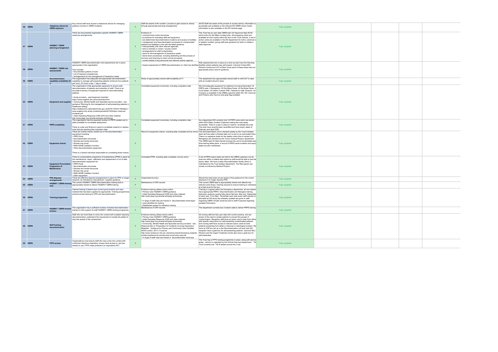| 56 CBRN       | <b>Telephony advice for</b><br><b>CBRN</b> exposure                       | Key clinical staff have access to telephone advice for managing<br>patients involved in CBRN incidents.                                                                                                                                                                                                                                                                                                                                                                                                                                                                                                                                                                                                                                                                              | $\mathsf{v}$ | Staff are aware of the number / process to gain access to advice<br>through appropriate planning arrangements                                                                                                                                                                                                                                                                                                                                                                                                                                                                                                                                                                                   | All ED Staff are aware of the process to access advice, information is<br>accessible and available on the relevant ED CBRN Action Cards.<br>Information is also available on the ED Intranet page                                                                                                                                                                                                                                                                                                                                                                                                                                                                                                                                            | Fully compliant        |  |
|---------------|---------------------------------------------------------------------------|--------------------------------------------------------------------------------------------------------------------------------------------------------------------------------------------------------------------------------------------------------------------------------------------------------------------------------------------------------------------------------------------------------------------------------------------------------------------------------------------------------------------------------------------------------------------------------------------------------------------------------------------------------------------------------------------------------------------------------------------------------------------------------------|--------------|-------------------------------------------------------------------------------------------------------------------------------------------------------------------------------------------------------------------------------------------------------------------------------------------------------------------------------------------------------------------------------------------------------------------------------------------------------------------------------------------------------------------------------------------------------------------------------------------------------------------------------------------------------------------------------------------------|----------------------------------------------------------------------------------------------------------------------------------------------------------------------------------------------------------------------------------------------------------------------------------------------------------------------------------------------------------------------------------------------------------------------------------------------------------------------------------------------------------------------------------------------------------------------------------------------------------------------------------------------------------------------------------------------------------------------------------------------|------------------------|--|
| 57 CBRN       | <b>HAZMAT / CBRN</b><br>planning arrangement                              | There are documented organisation specific HAZMAT/ CBRN<br>response arrangements.                                                                                                                                                                                                                                                                                                                                                                                                                                                                                                                                                                                                                                                                                                    |              | Evidence of:<br>. command and control structures<br>• procedures for activating staff and equipment<br>• pre-determined decontamination locations and access to facilities<br>· management and decontamination processes for contaminated<br>patients and fatalities in line with the latest guidance<br>. interoperability with other relevant agencies<br>. plan to maintain a cordon / access control<br>· arrangements for staff contamination<br>. plans for the management of hazardous waste<br>• stand-down procedures, including debriefing and the process of<br>recovery and returning to (new) normal processes<br>· contact details of key personnel and relevant partner agencie: | The Trust has an upto date CBRN plan (V4 Approved Sept 2018)<br>which links into the Major Incident plan. All emergency plans are<br>available as hard copies within ED and on the Trust Intranet. A set of<br>action cards are available in the ED department for both a chemical or<br>a radiaton incident, giving staff clear guidance for them to initiate a<br>safe response.                                                                                                                                                                                                                                                                                                                                                           | Fully compliant        |  |
| 58 CBRN       | <b>HAZMAT / CBRN risk</b><br>assessments                                  | HAZMAT/ CBRN decontamination risk assessments are in place<br>appropriate to the organisation.<br>This includes:<br>• Documented systems of work<br>• List of required competencies<br>• Arrangements for the management of hazardous waste                                                                                                                                                                                                                                                                                                                                                                                                                                                                                                                                          | Y            | . Impact assessment of CBRN decontamination on other key facilities facilities where patients may self present, Cannock Chase MIU,                                                                                                                                                                                                                                                                                                                                                                                                                                                                                                                                                              | Risk assessments are in place as a trust we also have the following<br>Phoenix Centre and UTC at New Cross each of these areas have an<br>appropriate action card for guidance.                                                                                                                                                                                                                                                                                                                                                                                                                                                                                                                                                              | <b>Fully compliant</b> |  |
| 59 CBRN       | <b>Decontamination</b>                                                    | The organisation has adequate and appropriate decontamination<br>capability availability 24 capability to manage self presenting patients (minimum four patients<br>per hour), 24 hours a day, 7 days a week                                                                                                                                                                                                                                                                                                                                                                                                                                                                                                                                                                         |              | Rotas of appropriately trained staff availability 24 /7                                                                                                                                                                                                                                                                                                                                                                                                                                                                                                                                                                                                                                         | The department has appropriately trained staff on shift 24/7 to deal<br>with an incident should it arise.                                                                                                                                                                                                                                                                                                                                                                                                                                                                                                                                                                                                                                    | Fully compliant        |  |
| 60 CBRN       |                                                                           | The organisation holds appropriate equipment to ensure safe<br>decontamination of patients and protection of staff. There is an<br>accurate inventory of equipment required for decontaminating<br>patients.<br>• Acute providers - see Equipment checklist:<br>https://www.england.nhs.uk/ourwork/eprr/hm/<br>Equipment and supplies • Community, Mental Health and Specialist service providers - see<br>guidance 'Planning for the management of self-presenting patients in<br>healthcare setting':<br>https://webarchive.nationalarchives.gov.uk/20161104231146/https://<br>www.england.nhs.uk/wp-content/uploads/2015/04/eprr-chemical-<br>incidents.pdf<br>• Initial Operating Response (IOR) DVD and other material:<br>http://www.jesip.org.uk/what-will-jesip-do/training/ |              | Completed equipment inventories; including completion date                                                                                                                                                                                                                                                                                                                                                                                                                                                                                                                                                                                                                                      | We hold adequate equipment for patients to be decontaminated 18<br>PRPS suits, 3 Ramgene's, 20 Dis-Robe Packs, 20 Re-Robe Packs, 2<br>Loud hailers, 30 Interim Tychem PPE, Tabards for staff, Scissors. An<br>inventory is available in the CRBN cupboard within ED. ED, Cannock<br>and Phoenix also have an acid grab bag available.                                                                                                                                                                                                                                                                                                                                                                                                        | Fully compliant        |  |
| 61 CBRN       | <b>PRPS</b> availability                                                  | The organisation has the expected number of PRPS (sealed and in<br>date) available for immediate deployment.<br>There is a plan and finance in place to revalidate (extend) or replace<br>suits that are reaching their expiration date                                                                                                                                                                                                                                                                                                                                                                                                                                                                                                                                              |              | Completed equipment inventories; including completion date                                                                                                                                                                                                                                                                                                                                                                                                                                                                                                                                                                                                                                      | As a department ED currently hold 18 PRPS suits which are stored<br>within ED's Major Incident Cupboard making the suits easily<br>accessible. There is a plan in place to extend / revalidate the suits.<br>The suits have recently been recertified and have expiry dates of<br>February and April 2020.                                                                                                                                                                                                                                                                                                                                                                                                                                   | Fully compliant        |  |
| 62 CBRN       | <b>Equipment checks</b>                                                   | There are routine checks carried out on the decontamination<br>equipment including:<br>• PRPS Suits<br>· Decontamination structures<br>· Disrobe and rerobe structures<br>• Shower tray pump<br>· RAM GENE (radiation monitor)<br>· Other decontamination equipment.<br>There is a named individual responsible for completing these checks                                                                                                                                                                                                                                                                                                                                                                                                                                          |              |                                                                                                                                                                                                                                                                                                                                                                                                                                                                                                                                                                                                                                                                                                 | Record of equipment checks, including date completed and by whom. The decontamination unit is checked weekly by the Trust's Estates<br>team and the water is flushed daily as it is set on an automated timer.<br>There is a signature sheet for the weekly check that is carried out.<br>Ramgenes are checked by the Trust's medical Physics department.<br>The CBRN lead Sr Helen Nevett ensures the unit is functionalble each<br>time training takes place. A record of PRPS serial numbers and expiry<br>dates are also maintained.                                                                                                                                                                                                     | Fully compliant        |  |
| 63 CBRN       | Equipment Preventative · PRPS Suits<br>Programme of<br><b>Maintenance</b> | There is a preventative programme of maintenance (PPM) in place fo<br>the maintenance, repair, calibration and replacement of out of date<br>decontamination equipment for:<br>• Decontamination structures<br>· Disrobe and rerobe structures<br>• Shower tray pump<br>· RAM GENE (radiation monitor)<br>• Other equipment                                                                                                                                                                                                                                                                                                                                                                                                                                                          | Y            | Completed PPM, including date completed, and by whom                                                                                                                                                                                                                                                                                                                                                                                                                                                                                                                                                                                                                                            | A list of PRPS expiry dates are held in the CBRN cupboard, but all<br>suits are within a visable area where by staff would be able to see the<br>expiry dates. We have a static Decontamination facility which is<br>maintained by the Trust estates department. The Ram-gene's are<br>closely monitored by Medical Physics.                                                                                                                                                                                                                                                                                                                                                                                                                 | Fully compliant        |  |
| 64 CBRN       | <b>PPE</b> disposal<br>arrangements                                       | There are effective disposal arrangements in place for PPE no longer<br>required, as indicated by manufacturer / supplier guidance.                                                                                                                                                                                                                                                                                                                                                                                                                                                                                                                                                                                                                                                  |              | Organisational policy                                                                                                                                                                                                                                                                                                                                                                                                                                                                                                                                                                                                                                                                           | Should the need arise we are aware of the guidance for the correct<br>disposal of no longer required PPE.                                                                                                                                                                                                                                                                                                                                                                                                                                                                                                                                                                                                                                    | Fully compliant        |  |
| 65 CBRN       | <b>HAZMAT / CBRN training</b><br>lead                                     | The current HAZMAT/ CBRN Decontamination training lead is<br>appropriately trained to deliver HAZMAT/ CBRN training                                                                                                                                                                                                                                                                                                                                                                                                                                                                                                                                                                                                                                                                  |              | Maintenance of CPD records                                                                                                                                                                                                                                                                                                                                                                                                                                                                                                                                                                                                                                                                      | The current CBRN lead is appropriately trained and attends any<br>relevant work shops / training required to ensure training is maintained<br>at a high level for the trus                                                                                                                                                                                                                                                                                                                                                                                                                                                                                                                                                                   | Fully compliant        |  |
| 66 CBRN       | <b>Training programme</b>                                                 | Internal training is based upon current good practice and uses<br>material that has been supplied as appropriate. Training programmes<br>should include training for PPE and decontamination.                                                                                                                                                                                                                                                                                                                                                                                                                                                                                                                                                                                        |              | Evidence training utilises advice within:<br>· Primary Care HAZMAT/ CBRN guidance<br>. Initial Operating Response (IOR) and other material:<br>http://www.jesip.org.uk/what-will-jesip-do/training/<br>• A range of staff roles are trained in decontamination techniques<br>• Lead identified for training<br>· Established system for refresher training                                                                                                                                                                                                                                                                                                                                      | Training is ongoing within the Emergency department, all new starters<br>have appropriate PRPS / Decontamination and Ramgene training<br>delivered, sessions usually take place February, May and September<br>of each year. From May - November each year every staff member is<br>allocated an ED study day whereby updates are given to staff<br>regarding CBRN. Emails would be sent to staff if required regarding<br>updated information.                                                                                                                                                                                                                                                                                              | <b>Fully compliant</b> |  |
| <b>b</b> CBRN | trainers                                                                  | HAZMAT / CBRN trained The organisation has a sufficient number of trained decontamination<br>trainers to fully support its staff HAZMA1/ CBRN training programme.                                                                                                                                                                                                                                                                                                                                                                                                                                                                                                                                                                                                                    |              | Maintenance of CPD records                                                                                                                                                                                                                                                                                                                                                                                                                                                                                                                                                                                                                                                                      | The department currently has 3 trainers able to deliver PRPS training                                                                                                                                                                                                                                                                                                                                                                                                                                                                                                                                                                                                                                                                        | Fully compliant        |  |
| 68 CBRN       | Staff training -<br>decontamination                                       | Staff who are most likely to come into contact with a patient requiring<br>decontamination understand the requirement to isolate the patient to<br>stop the spread of the contaminant.                                                                                                                                                                                                                                                                                                                                                                                                                                                                                                                                                                                               |              | Evidence training utilises advice within:<br>· Primary Care HAZMAT/ CBRN guidance<br>• Initial Operating Response (IOR) and other material:<br>http://www.jesip.org.uk/what-will-jesip-do/training/<br>• Community, Mental Health and Specialist service providers - see<br>Response Box in 'Preparation for Incidents Involving Hazardous<br>Materials - Guidance for Primary and Community Care Facilities'<br>(NHS London, 2011). Found at:<br>incident-guidance-for-primary-and-community-care.pdf<br>• A range of staff roles are trained in decontamination technique                                                                                                                     | All nursing staff are fully upto date with current practice, and are<br>aware of the need to isolate patients to prevent the spread of<br>contamination. Reception staff have an action card in their front office<br>with specific instructions for self presenting contaminated patients,<br>and nursing staff have access to relevant action cards for both<br>patients presenting from either a chemical or radiological incident. We<br>have an IOR box set up in the Decontamination unit and main ED<br>reception have a grab box for self presenting patients. Cannock MIU,<br>http://www.londonccn.nhs.uk/_store/documents/hazardous-material- Phoenix and the Urgent Treatment centre also have a grab box for<br>self presenters. | Fully compliant        |  |
| 69 CBRN       | FFP3 access                                                               | Organisations must ensure staff who may come into contact with<br>confirmed infectious respiratory viruses have access to, and are<br>trained to use, FFP3 mask protection (or equivalent) 24/7.                                                                                                                                                                                                                                                                                                                                                                                                                                                                                                                                                                                     |              |                                                                                                                                                                                                                                                                                                                                                                                                                                                                                                                                                                                                                                                                                                 | The Trust has a FFP3 training programme in place, along with service<br>areas, whnich is organised by the Clinical Services Department. The<br>Trust currently has 145 fit testers across the Trust.                                                                                                                                                                                                                                                                                                                                                                                                                                                                                                                                         | Fully compliant        |  |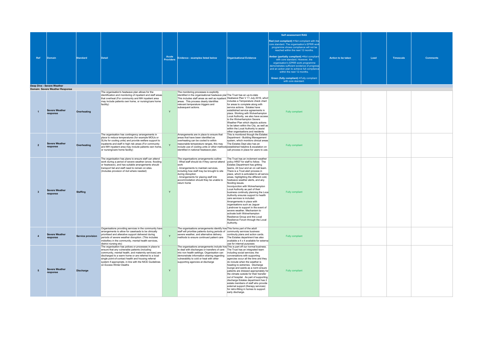|                         |                                                                      |                          |                                                                                                                                                                                                                                                                                                                                                                       |                           |                                                                                                                                                                                                                                                                                                                                                                                                           |                                                                                                                                                                                                                                                                                                                                                                                                                                                                                                                                                                                                                                                                                                                                                    | Self assessment RAG                                                                                                                                                                                                                                                                                                                                                                                                                                                                                   |                    |      |                  |                 |
|-------------------------|----------------------------------------------------------------------|--------------------------|-----------------------------------------------------------------------------------------------------------------------------------------------------------------------------------------------------------------------------------------------------------------------------------------------------------------------------------------------------------------------|---------------------------|-----------------------------------------------------------------------------------------------------------------------------------------------------------------------------------------------------------------------------------------------------------------------------------------------------------------------------------------------------------------------------------------------------------|----------------------------------------------------------------------------------------------------------------------------------------------------------------------------------------------------------------------------------------------------------------------------------------------------------------------------------------------------------------------------------------------------------------------------------------------------------------------------------------------------------------------------------------------------------------------------------------------------------------------------------------------------------------------------------------------------------------------------------------------------|-------------------------------------------------------------------------------------------------------------------------------------------------------------------------------------------------------------------------------------------------------------------------------------------------------------------------------------------------------------------------------------------------------------------------------------------------------------------------------------------------------|--------------------|------|------------------|-----------------|
| Ref                     | Domain                                                               | <b>Standard</b>          | Detail                                                                                                                                                                                                                                                                                                                                                                | Acute<br><b>Providers</b> | Evidence - examples listed below                                                                                                                                                                                                                                                                                                                                                                          | Organisational Evidence                                                                                                                                                                                                                                                                                                                                                                                                                                                                                                                                                                                                                                                                                                                            | Red (not compliant) = Not compliant with the<br>core standard. The organisation's EPRR work<br>programme shows compliance will not be<br>reached within the next 12 months.<br>Amber (partially compliant) =Not complian<br>with core standard. However, the<br>organisation's EPRR work programme<br>demonstrates sufficient evidence of progress<br>and an action plan to achieve full compliance<br>within the next 12 months.<br>Green (fully compliant) = Fully compliant<br>with core standard. | Action to be taken | Lead | <b>Timescale</b> | <b>Comments</b> |
|                         |                                                                      |                          |                                                                                                                                                                                                                                                                                                                                                                       |                           |                                                                                                                                                                                                                                                                                                                                                                                                           |                                                                                                                                                                                                                                                                                                                                                                                                                                                                                                                                                                                                                                                                                                                                                    |                                                                                                                                                                                                                                                                                                                                                                                                                                                                                                       |                    |      |                  |                 |
|                         | <b>Deep Dive - Severe Weather</b><br>Domain: Severe Weather Response |                          |                                                                                                                                                                                                                                                                                                                                                                       |                           |                                                                                                                                                                                                                                                                                                                                                                                                           |                                                                                                                                                                                                                                                                                                                                                                                                                                                                                                                                                                                                                                                                                                                                                    |                                                                                                                                                                                                                                                                                                                                                                                                                                                                                                       |                    |      |                  |                 |
| $\overline{1}$          | <b>Severe Weather</b><br>response                                    | Overheating              | The organisation's heatwave plan allows for the<br>identification and monitoring of inpatient and staff areas<br>that overheat (For community and MH inpatient area<br>may include patients own home, or nursing/care home<br>facility)                                                                                                                               | $\mathsf{Y}$              | The monitoring processes is explicitly<br>identified in the organisational heatwave plar The Trust has an up-to-date<br>This includes staff areas as well as inpatient Heatwave Plan V 11 July 2019, which<br>areas This process clearly identifies<br>relevant temperature triggers and<br>subsequent actions.                                                                                           | includes a Temperature check chart<br>for areas to complete along with<br>service actions. Estates have<br>established service agreements in<br>place. Working with Wolverhampton<br>Local Authority, we also have access<br>to the Wolverhampton Severe<br>Weather Plan which depicts actions<br>to be taken within the City, as well as<br>within the Local Authority to assist<br>other organisations and residents                                                                                                                                                                                                                                                                                                                             | Fully compliant                                                                                                                                                                                                                                                                                                                                                                                                                                                                                       |                    |      |                  |                 |
| $\overline{2}$          | <b>Severe Weather</b><br>response                                    | Overheating              | The organisation has contingency arrangements in<br>place to reduce temperatures (for example MOUs or<br>SLAs for cooling units) and provide welfare support to<br>inpatients and staff in high risk areas (For community<br>and MH inpatient area may include patients own home,<br>or nursing/care home facility)                                                   |                           | Arrangements are in place to ensure that<br>areas that have been identified as<br>overheating can be cooled to within<br>reasonable temperature ranges, this may<br>include use of cooling units or other methods established helpline & escalation on<br>identified in national heatwave plan.                                                                                                           | This is monitored though the Estates<br>Department - Building Management<br>system, which monitors clinical areas<br>The Estates Dept also has an<br>call process in place for users to use.                                                                                                                                                                                                                                                                                                                                                                                                                                                                                                                                                       | Fully compliant                                                                                                                                                                                                                                                                                                                                                                                                                                                                                       |                    |      |                  |                 |
| $\overline{\mathbf{3}}$ | <b>Severe Weather</b><br>response                                    | <b>Staffing</b>          | The organisation has plans to ensure staff can attend<br>work during a period of severe weather (snow, flooding<br>or heatwave), and has suitable arrangements should<br>transport fail and staff need to remain on sites.<br>(Includes provision of 4x4 where needed)                                                                                                | Y                         | The organisations arrangements outline:<br>- What staff should do if they cannot attend policy HR07 for staff to follow. The<br>work<br>- Arrangements to maintain services,<br>including how staff may be brought to site<br>during disruption<br>- Arrangements for placing staff into<br>accommodation should they be unable to<br>return home                                                         | The Trust has an inclement weather<br>Estates Department has gritting<br>teams, 24 hour and an on call team.<br>There is a Trust alert process in<br>place, which is activiated to all service<br>areas, highlighting the different cold,<br>heatwave weather alerts, and any<br>flooding issues.<br>Inconjunction with Wolverhampton<br>Local Authority as part of their<br>business continuity planning the Loca<br>Authority ensures support to health<br>care services is included.<br>Arrangements in place with<br>organisations such as Jaguar<br>Landrover to support in the event of<br>severe weather. Mechanism to<br>activate both Wolverhampton<br>Resilience Group and the Local<br>Resilience Forum through the Local<br>Authority. | Fully compliant                                                                                                                                                                                                                                                                                                                                                                                                                                                                                       |                    |      |                  |                 |
| $\overline{4}$          | <b>Severe Weather</b><br>response                                    | <b>Service provision</b> | Organisations providing services in the community have<br>arrangements to allow for caseloads to be clinically<br>prioritised and alterative support delivered during<br>periods of severe weather disruption. (This includes<br>midwifery in the community, mental health services,<br>district nursing etc)                                                         | Y                         | The organisations arrangements identify how This forms part of the adult<br>staff will prioritise patients during periods of community services business<br>severe weather, and alternative delivery<br>methods to ensure continued patient care                                                                                                                                                          | continuity plans and action cards.<br>The Estates department has also<br>available a 4 x 4 available for external<br>use for internal purposes                                                                                                                                                                                                                                                                                                                                                                                                                                                                                                                                                                                                     | Fully compliant                                                                                                                                                                                                                                                                                                                                                                                                                                                                                       |                    |      |                  |                 |
| 5                       | <b>Severe Weather</b><br>response                                    | <b>Discharge</b>         | The organisation has polices or processes in place to<br>ensure that any vulnerable patients (including<br>community, mental health, and maternity services) are<br>discharged to a warm home or are referred to a local<br>single point-of-contact health and housing referral<br>system if appropriate, in line with the NICE Guidelines<br>on Excess Winter Deaths | Y                         | The organisations arrangements include how This is part off our normal business.<br>to deal with discharges or transfers of care The Trust has an integrated team<br>into non health settings. Organisation can including social services; the<br>demonstrate information sharing regarding conversations with supporting<br>vulnerability to cold or heat with other<br>supporting agencies at discharge | agencies occur all the time and they<br>do include when the weather is<br>heading to extremes. Discharge<br>lounge and wards as a norm ensure<br>patients are dressed appropriately for<br>the climate outside for their transfer<br>out of hospital. As part of supporting<br>discharge Estates department has 2<br>estate members of staff who provide<br>external support (therapy services)<br>for retro-fitting in homes to support<br>early discharge.                                                                                                                                                                                                                                                                                       | Fully compliant                                                                                                                                                                                                                                                                                                                                                                                                                                                                                       |                    |      |                  |                 |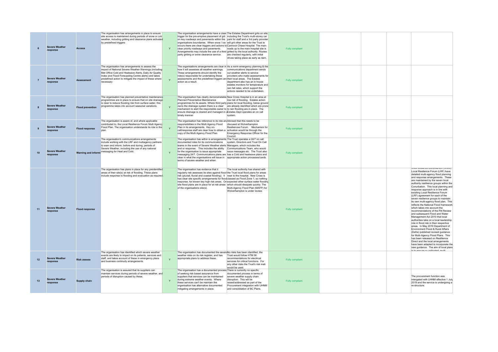|                | <b>Severe Weather</b><br>response | <b>Access</b>           | The organisation has arrangements in place to ensure<br>site access is maintained during periods of snow or cold<br>weather, including gritting and clearance plans activated<br>by predefined triggers                                                                                            | Y            | The organisation arrangements have a clear The Estates Department grits on site,<br>trigger for the pre-emptive placement of grit including the Trust's multi-storey car<br>on key roadways and pavements within the park for staff and a 3rd party provider<br>organisations boundaries. When snow / ice will grit other areas for the Trust ie<br>occurs there are clear triggers and actions to Cannock Chase Hospital. The main<br>clear priority roadways and payements.<br>Arrangements may include the use of a third gritted by the local authority. Routes<br>party gritting or snow clearance service. | roads up to the main hospital site is<br>are checked regularly, with initial<br>drives taking place as early as 4am.                                                                                                                                        | Fully compliant |  |                                                                                                                                                                                                                                                                                                                                                                                                                                                                                                                                                                                                                                                                                                                                                                                                                                                                                                                                                                                                                                                                                                    |
|----------------|-----------------------------------|-------------------------|----------------------------------------------------------------------------------------------------------------------------------------------------------------------------------------------------------------------------------------------------------------------------------------------------|--------------|------------------------------------------------------------------------------------------------------------------------------------------------------------------------------------------------------------------------------------------------------------------------------------------------------------------------------------------------------------------------------------------------------------------------------------------------------------------------------------------------------------------------------------------------------------------------------------------------------------------|-------------------------------------------------------------------------------------------------------------------------------------------------------------------------------------------------------------------------------------------------------------|-----------------|--|----------------------------------------------------------------------------------------------------------------------------------------------------------------------------------------------------------------------------------------------------------------------------------------------------------------------------------------------------------------------------------------------------------------------------------------------------------------------------------------------------------------------------------------------------------------------------------------------------------------------------------------------------------------------------------------------------------------------------------------------------------------------------------------------------------------------------------------------------------------------------------------------------------------------------------------------------------------------------------------------------------------------------------------------------------------------------------------------------|
| $\overline{7}$ | <b>Severe Weather</b><br>response | <b>Assessment</b>       | The organisation has arrangements to assess the<br>impact of National Severe Weather Warnings (including<br>Met Office Cold and Heatwave Alerts, Daily Air Quality<br>Index and Flood Forecasting Centre alerts) and takes<br>predefined action to mitigate the impact of these where<br>necessary |              | The organisations arrangements are clear in As a norm emergency planning & the<br>how it will assesses all weather warnings.<br>These arrangements should identify the<br>role(s) responsible for undertaking these<br>assessments and the predefined triggers and their local areas. The Estates<br>action as a result.                                                                                                                                                                                                                                                                                         | communications department sends<br>out weather alerts to service<br>providers who make assessments for<br>department also has an in house<br>estates monitors for temperature and<br>rain fall rates, which support the<br>actions needed to be undertaken. | Fully compliant |  |                                                                                                                                                                                                                                                                                                                                                                                                                                                                                                                                                                                                                                                                                                                                                                                                                                                                                                                                                                                                                                                                                                    |
|                | <b>Severe Weather</b><br>response | <b>Flood prevention</b> | The organisation has planned preventative maintenance<br>programmes are in place to ensure that on site drainage<br>is clear to reduce flooding risk from surface water, this<br>programme takes into account seasonal variations.                                                                 | $\mathbf{Y}$ | The organisation has clearly demonstratable New Cross Hospital is in an area at<br>Planned Preventative Maintenance<br>programmes for its assets. Where third party plans for local flooding, below ground<br>owns the drainage system there is a clear are already identified which are prone<br>mechanism to alert the responsible owner to to rain flooding are in place. The<br>ensure drainage is cleared and managed in aEstates Dept operates an on call<br>timely manner                                                                                                                                 | low risk of flooding. Estates action<br>system.                                                                                                                                                                                                             | Fully compliant |  |                                                                                                                                                                                                                                                                                                                                                                                                                                                                                                                                                                                                                                                                                                                                                                                                                                                                                                                                                                                                                                                                                                    |
| 9              | <b>Severe Weather</b><br>response | <b>Flood response</b>   | The organisation is aware of, and where applicable<br>contributed to, the Local Resilience Forum Multi Agency<br>Flood Plan. The organisation understands its role in this<br>nlan.                                                                                                                | $\mathbf{v}$ | The organisation has reference to its role an Advised that this needs to be<br>responsibilities in the Multi Agency Flood<br>Plan in its arrangements. Key on-<br>call/response staff are clear how to obtain a activation would be through the<br>copy of the Multi Agency Flood Plan                                                                                                                                                                                                                                                                                                                           | discused at Wolverhampton<br>Resiliencee Forum. Mechanism for<br>Emergency Response Officer for the<br>Council                                                                                                                                              | Fully compliant |  |                                                                                                                                                                                                                                                                                                                                                                                                                                                                                                                                                                                                                                                                                                                                                                                                                                                                                                                                                                                                                                                                                                    |
| 10             | <b>Severe Weather</b><br>response |                         | The organisation's communications arrangements<br>include working with the LRF and multiagency partners<br>to warn and inform, before and during, periods of<br>Severe Weather, including the use of any national<br>Warning and informi <sup>messaging</sup> for Heat and Cold.                   | Y            | The organisation has within is arrangements The Trust operates a 24/7 on call<br>documented roles for its communications system. Directors and Trust On Call<br>teams in the event of Severe Weather alerts Managers, which includes the<br>and or response. This includes the ability Communications Team, who would<br>for the organisation to issue appropriate<br>messaging 24/7. Communications plans are has a Cold and heatwave plans and<br>clear in what the organisations will issue in appropriate action processes/cards.<br>terms of severe weather and when.                                       | issue messages etc. The Trust also                                                                                                                                                                                                                          | Fully compliant |  |                                                                                                                                                                                                                                                                                                                                                                                                                                                                                                                                                                                                                                                                                                                                                                                                                                                                                                                                                                                                                                                                                                    |
| 11             | <b>Severe Weather</b><br>response | <b>Flood response</b>   | The organisation has plans in place for any preidentified<br>areas of their site(s) at risk of flooding. These plans<br>include response to flooding and evacuation as required.                                                                                                                   | Y            | The organisation has evidence that it<br>regularly risk assesses its sites against flood the Trust local flood plans for areas<br>risk (pluvial, fluvial and coastal flooding). It near to the hospital. New Cross is<br>has clear site specific arrangements for flood classed as Flood Zone 1, so nothing<br>response, for known key high risk areas. On expected other surface water flooding<br>site flood plans are in place for at risk areas which should dissipate quickly. The<br>of the organisations site(s).                                                                                         | The local authority has shared with<br>Multi-Agency Flood Plan (MAFP) for<br>Wolverhampton is under review.                                                                                                                                                 | Fully compliant |  | vvest midiarios Condroardon (vviviC)<br>Local Resilience Forum (LRF) have<br>detailed multi-agency flood planning<br>and response arrangements. These<br>are maintained by the seven local<br>authority reslilience groups within the<br>Conurbation. This local planning and<br>response approach is in line with<br>exisiting Local Resilience Forum<br>(LRF) agreement for each of the<br>seven resilience groups to maintain<br>its own multi-agency flood plan. This<br>reflects the National Flood framework<br>which takes into account the<br>recommendations of the Pitt Review<br>and subsequent Flood and Water<br>Management Act 2010 that local<br>authorities take on a local leadership<br>role in flood risk in their respective<br>areas. In May 2019 Department of<br>Environment Flood & Rural Affairs<br>(Defra) published revised guidance<br>for Multi-Agency Flood Plans. This<br>has been released on Reslilience<br>Direct and the local arrangements<br>have been adapted to incorporate the<br>new guidance. The aim of local plans<br>ie to aneura on ordinated multi- |
| 12             | <b>Severe Weather</b><br>response | <b>Risk assess</b>      | The organisation has identified which severe weather<br>events are likely to impact on its patients, services and<br>staff, and takes account of these in emergency plans<br>and business continuity arrangements.                                                                                 | $\mathbf{v}$ | The organisation has documented the severeNo risks has been identified, the<br>weather risks on its risk register, and has<br>appropriate plans to address these.                                                                                                                                                                                                                                                                                                                                                                                                                                                | Trust would follow HTM 06<br>recommendations for electrical<br>services for critical functions. For<br>any other risks the Trust's risk mati<br>would be used.                                                                                              | Fully compliant |  |                                                                                                                                                                                                                                                                                                                                                                                                                                                                                                                                                                                                                                                                                                                                                                                                                                                                                                                                                                                                                                                                                                    |
| 13             | <b>Severe Weather</b><br>response | <b>Supply chain</b>     | The organisation is assured that its suppliers can<br>maintain services during periods of severe weather, and<br>periods of disruption caused by these.                                                                                                                                            | Y            | The organisation has a documented process There is currently no specific<br>of seeking risk based assurance from<br>suppliers that services can be maintained<br>during extreme weather events. Where<br>these services can't be maintain the<br>organisation has alternative documented<br>mitigating arrangements in place.                                                                                                                                                                                                                                                                                    | documented process in terms of<br>severe weather supply chain<br>disruption. This will be<br>raised/addressed as part of the<br>Procurement integration with UHNM<br>and consolidation of BC Plans.                                                         | Fully compliant |  | The procurement function was<br>intergated with UHNM effective 1 July<br>2019 and the service is undergoing a<br>re-structure.                                                                                                                                                                                                                                                                                                                                                                                                                                                                                                                                                                                                                                                                                                                                                                                                                                                                                                                                                                     |